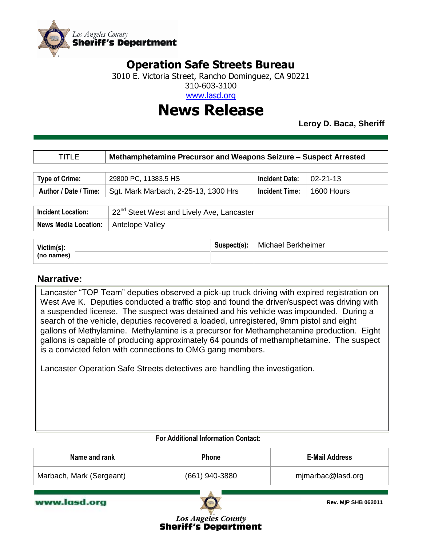

## **Operation Safe Streets Bureau**

3010 E. Victoria Street, Rancho Dominguez, CA 90221

310-603-3100

www.lasd.org

## **News Release**

**Leroy D. Baca, Sheriff**

| TITLE                       | Methamphetamine Precursor and Weapons Seizure - Suspect Arrested |                       |                |
|-----------------------------|------------------------------------------------------------------|-----------------------|----------------|
|                             |                                                                  |                       |                |
| <b>Type of Crime:</b>       | 29800 PC, 11383.5 HS                                             | <b>Incident Date:</b> | $02 - 21 - 13$ |
| Author / Date / Time:       | Sgt. Mark Marbach, 2-25-13, 1300 Hrs                             | <b>Incident Time:</b> | 1600 Hours     |
|                             |                                                                  |                       |                |
| <b>Incident Location:</b>   | 22 <sup>nd</sup> Steet West and Lively Ave, Lancaster            |                       |                |
| <b>News Media Location:</b> | Antelope Valley                                                  |                       |                |

| Victim(s): | Suspect(s): | Michael Berkheimer |
|------------|-------------|--------------------|
| (no names) |             |                    |

### **Narrative:**

Lancaster "TOP Team" deputies observed a pick-up truck driving with expired registration on West Ave K. Deputies conducted a traffic stop and found the driver/suspect was driving with a suspended license. The suspect was detained and his vehicle was impounded. During a search of the vehicle, deputies recovered a loaded, unregistered, 9mm pistol and eight gallons of Methylamine. Methylamine is a precursor for Methamphetamine production. Eight gallons is capable of producing approximately 64 pounds of methamphetamine. The suspect is a convicted felon with connections to OMG gang members.

Lancaster Operation Safe Streets detectives are handling the investigation.

#### **For Additional Information Contact:**

| Name and rank            | <b>Phone</b>   | <b>E-Mail Address</b> |
|--------------------------|----------------|-----------------------|
| Marbach, Mark (Sergeant) | (661) 940-3880 | mjmarbac@lasd.org     |

www.lasd.org



**Rev. MjP SHB 062011**